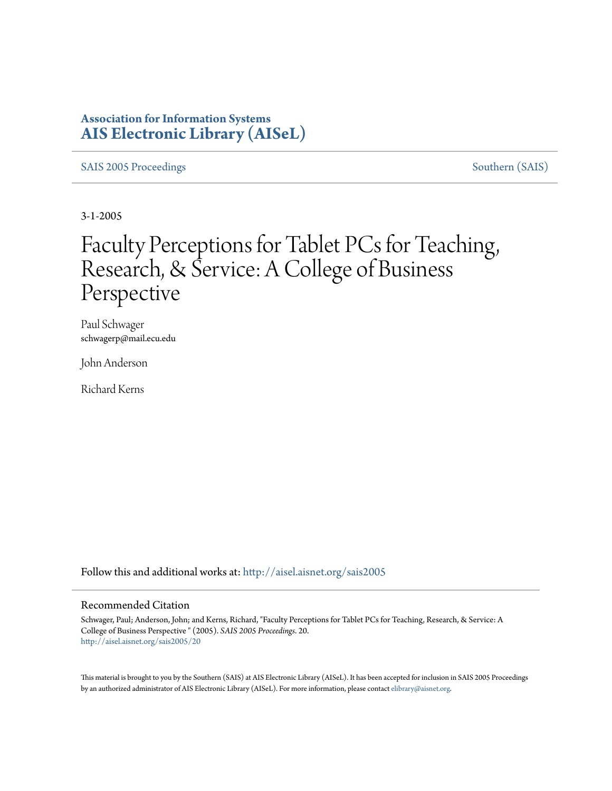# **Association for Information Systems [AIS Electronic Library \(AISeL\)](http://aisel.aisnet.org?utm_source=aisel.aisnet.org%2Fsais2005%2F20&utm_medium=PDF&utm_campaign=PDFCoverPages)**

[SAIS 2005 Proceedings](http://aisel.aisnet.org/sais2005?utm_source=aisel.aisnet.org%2Fsais2005%2F20&utm_medium=PDF&utm_campaign=PDFCoverPages) [Southern \(SAIS\)](http://aisel.aisnet.org/sais?utm_source=aisel.aisnet.org%2Fsais2005%2F20&utm_medium=PDF&utm_campaign=PDFCoverPages)

3-1-2005

# Faculty Perceptions for Tablet PCs for Teaching, Research, & Service: A College of Business Perspective

Paul Schwager schwagerp@mail.ecu.edu

John Anderson

Richard Kerns

Follow this and additional works at: [http://aisel.aisnet.org/sais2005](http://aisel.aisnet.org/sais2005?utm_source=aisel.aisnet.org%2Fsais2005%2F20&utm_medium=PDF&utm_campaign=PDFCoverPages)

### Recommended Citation

Schwager, Paul; Anderson, John; and Kerns, Richard, "Faculty Perceptions for Tablet PCs for Teaching, Research, & Service: A College of Business Perspective " (2005). *SAIS 2005 Proceedings*. 20. [http://aisel.aisnet.org/sais2005/20](http://aisel.aisnet.org/sais2005/20?utm_source=aisel.aisnet.org%2Fsais2005%2F20&utm_medium=PDF&utm_campaign=PDFCoverPages)

This material is brought to you by the Southern (SAIS) at AIS Electronic Library (AISeL). It has been accepted for inclusion in SAIS 2005 Proceedings by an authorized administrator of AIS Electronic Library (AISeL). For more information, please contact [elibrary@aisnet.org](mailto:elibrary@aisnet.org%3E).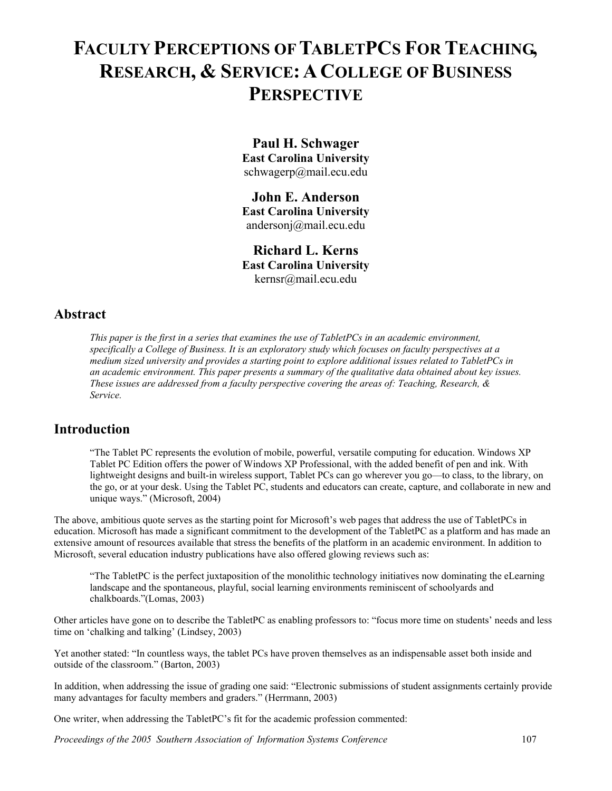# **FACULTY PERCEPTIONS OFTABLETPCS FOR TEACHING, RESEARCH, & SERVICE: ACOLLEGE OF BUSINESS PERSPECTIVE**

### **Paul H. Schwager**

**East Carolina University**  schwagerp@mail.ecu.edu

### **John E. Anderson East Carolina University**  andersonj@mail.ecu.edu

**Richard L. Kerns East Carolina University**  kernsr@mail.ecu.edu

### **Abstract**

*This paper is the first in a series that examines the use of TabletPCs in an academic environment, specifically a College of Business. It is an exploratory study which focuses on faculty perspectives at a medium sized university and provides a starting point to explore additional issues related to TabletPCs in an academic environment. This paper presents a summary of the qualitative data obtained about key issues. These issues are addressed from a faculty perspective covering the areas of: Teaching, Research, & Service.* 

### **Introduction**

"The Tablet PC represents the evolution of mobile, powerful, versatile computing for education. Windows XP Tablet PC Edition offers the power of Windows XP Professional, with the added benefit of pen and ink. With lightweight designs and built-in wireless support, Tablet PCs can go wherever you go—to class, to the library, on the go, or at your desk. Using the Tablet PC, students and educators can create, capture, and collaborate in new and unique ways." (Microsoft, 2004)

The above, ambitious quote serves as the starting point for Microsoft's web pages that address the use of TabletPCs in education. Microsoft has made a significant commitment to the development of the TabletPC as a platform and has made an extensive amount of resources available that stress the benefits of the platform in an academic environment. In addition to Microsoft, several education industry publications have also offered glowing reviews such as:

"The TabletPC is the perfect juxtaposition of the monolithic technology initiatives now dominating the eLearning landscape and the spontaneous, playful, social learning environments reminiscent of schoolyards and chalkboards."(Lomas, 2003)

Other articles have gone on to describe the TabletPC as enabling professors to: "focus more time on students' needs and less time on 'chalking and talking' (Lindsey, 2003)

Yet another stated: "In countless ways, the tablet PCs have proven themselves as an indispensable asset both inside and outside of the classroom." (Barton, 2003)

In addition, when addressing the issue of grading one said: "Electronic submissions of student assignments certainly provide many advantages for faculty members and graders." (Herrmann, 2003)

One writer, when addressing the TabletPC's fit for the academic profession commented:

*Proceedings of the 2005 Southern Association of Information Systems Conference* 107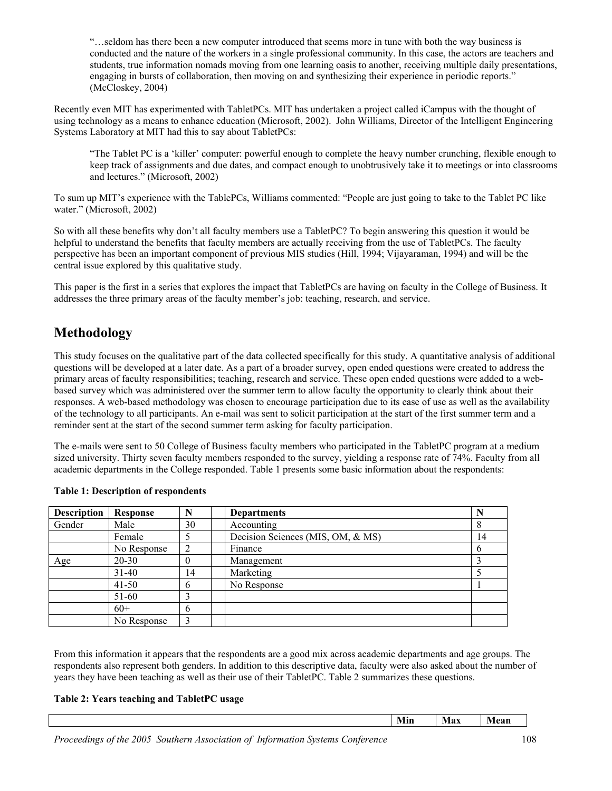"…seldom has there been a new computer introduced that seems more in tune with both the way business is conducted and the nature of the workers in a single professional community. In this case, the actors are teachers and students, true information nomads moving from one learning oasis to another, receiving multiple daily presentations, engaging in bursts of collaboration, then moving on and synthesizing their experience in periodic reports." (McCloskey, 2004)

Recently even MIT has experimented with TabletPCs. MIT has undertaken a project called iCampus with the thought of using technology as a means to enhance education (Microsoft, 2002). John Williams, Director of the Intelligent Engineering Systems Laboratory at MIT had this to say about TabletPCs:

"The Tablet PC is a 'killer' computer: powerful enough to complete the heavy number crunching, flexible enough to keep track of assignments and due dates, and compact enough to unobtrusively take it to meetings or into classrooms and lectures." (Microsoft, 2002)

To sum up MIT's experience with the TablePCs, Williams commented: "People are just going to take to the Tablet PC like water." (Microsoft, 2002)

So with all these benefits why don't all faculty members use a TabletPC? To begin answering this question it would be helpful to understand the benefits that faculty members are actually receiving from the use of TabletPCs. The faculty perspective has been an important component of previous MIS studies (Hill, 1994; Vijayaraman, 1994) and will be the central issue explored by this qualitative study.

This paper is the first in a series that explores the impact that TabletPCs are having on faculty in the College of Business. It addresses the three primary areas of the faculty member's job: teaching, research, and service.

# **Methodology**

This study focuses on the qualitative part of the data collected specifically for this study. A quantitative analysis of additional questions will be developed at a later date. As a part of a broader survey, open ended questions were created to address the primary areas of faculty responsibilities; teaching, research and service. These open ended questions were added to a webbased survey which was administered over the summer term to allow faculty the opportunity to clearly think about their responses. A web-based methodology was chosen to encourage participation due to its ease of use as well as the availability of the technology to all participants. An e-mail was sent to solicit participation at the start of the first summer term and a reminder sent at the start of the second summer term asking for faculty participation.

The e-mails were sent to 50 College of Business faculty members who participated in the TabletPC program at a medium sized university. Thirty seven faculty members responded to the survey, yielding a response rate of 74%. Faculty from all academic departments in the College responded. Table 1 presents some basic information about the respondents:

| <b>Description</b> | Response    | N              | <b>Departments</b>                | N           |
|--------------------|-------------|----------------|-----------------------------------|-------------|
| Gender             | Male        | 30             | Accounting                        | 8           |
|                    | Female      |                | Decision Sciences (MIS, OM, & MS) | 14          |
|                    | No Response | $\overline{2}$ | Finance                           | $\mathbf b$ |
| Age                | $20 - 30$   | $\theta$       | Management                        |             |
|                    | $31-40$     | 14             | Marketing                         |             |
|                    | $41 - 50$   | b              | No Response                       |             |
|                    | 51-60       |                |                                   |             |
|                    | $60+$       | 6              |                                   |             |
|                    | No Response | 3              |                                   |             |

### **Table 1: Description of respondents**

From this information it appears that the respondents are a good mix across academic departments and age groups. The respondents also represent both genders. In addition to this descriptive data, faculty were also asked about the number of years they have been teaching as well as their use of their TabletPC. Table 2 summarizes these questions.

### **Table 2: Years teaching and TabletPC usage**

| Min | $\sim$ $\sim$ $\sim$<br>. .<br>- 64.77<br>$\sim$ $\sim$ | <b>NA</b><br>$\sim$ $\sim$ $\sim$<br>$\epsilon$<br>. |
|-----|---------------------------------------------------------|------------------------------------------------------|
|     |                                                         |                                                      |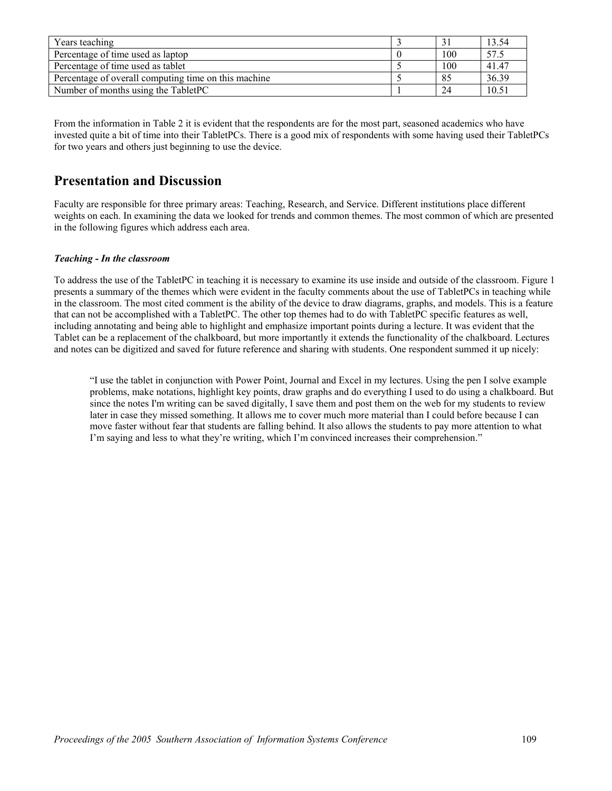| Years teaching                                       |  |     | 13.54 |
|------------------------------------------------------|--|-----|-------|
| Percentage of time used as laptop                    |  | 100 | 57.5  |
| Percentage of time used as tablet                    |  | 100 | 41.47 |
| Percentage of overall computing time on this machine |  | 85  | 36.39 |
| Number of months using the TabletPC                  |  | 24  | 10.51 |

From the information in Table 2 it is evident that the respondents are for the most part, seasoned academics who have invested quite a bit of time into their TabletPCs. There is a good mix of respondents with some having used their TabletPCs for two years and others just beginning to use the device.

# **Presentation and Discussion**

Faculty are responsible for three primary areas: Teaching, Research, and Service. Different institutions place different weights on each. In examining the data we looked for trends and common themes. The most common of which are presented in the following figures which address each area.

### *Teaching - In the classroom*

To address the use of the TabletPC in teaching it is necessary to examine its use inside and outside of the classroom. Figure 1 presents a summary of the themes which were evident in the faculty comments about the use of TabletPCs in teaching while in the classroom. The most cited comment is the ability of the device to draw diagrams, graphs, and models. This is a feature that can not be accomplished with a TabletPC. The other top themes had to do with TabletPC specific features as well, including annotating and being able to highlight and emphasize important points during a lecture. It was evident that the Tablet can be a replacement of the chalkboard, but more importantly it extends the functionality of the chalkboard. Lectures and notes can be digitized and saved for future reference and sharing with students. One respondent summed it up nicely:

"I use the tablet in conjunction with Power Point, Journal and Excel in my lectures. Using the pen I solve example problems, make notations, highlight key points, draw graphs and do everything I used to do using a chalkboard. But since the notes I'm writing can be saved digitally, I save them and post them on the web for my students to review later in case they missed something. It allows me to cover much more material than I could before because I can move faster without fear that students are falling behind. It also allows the students to pay more attention to what I'm saying and less to what they're writing, which I'm convinced increases their comprehension."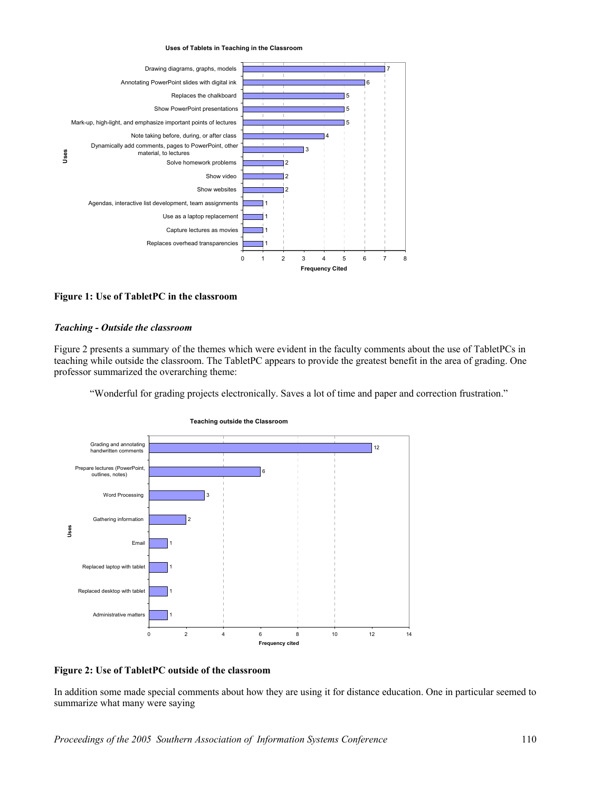**Uses of Tablets in Teaching in the Classroom**



#### **Figure 1: Use of TabletPC in the classroom**

#### *Teaching - Outside the classroom*

Figure 2 presents a summary of the themes which were evident in the faculty comments about the use of TabletPCs in teaching while outside the classroom. The TabletPC appears to provide the greatest benefit in the area of grading. One professor summarized the overarching theme:

"Wonderful for grading projects electronically. Saves a lot of time and paper and correction frustration."



#### **Teaching outside the Classroom**

### **Figure 2: Use of TabletPC outside of the classroom**

In addition some made special comments about how they are using it for distance education. One in particular seemed to summarize what many were saying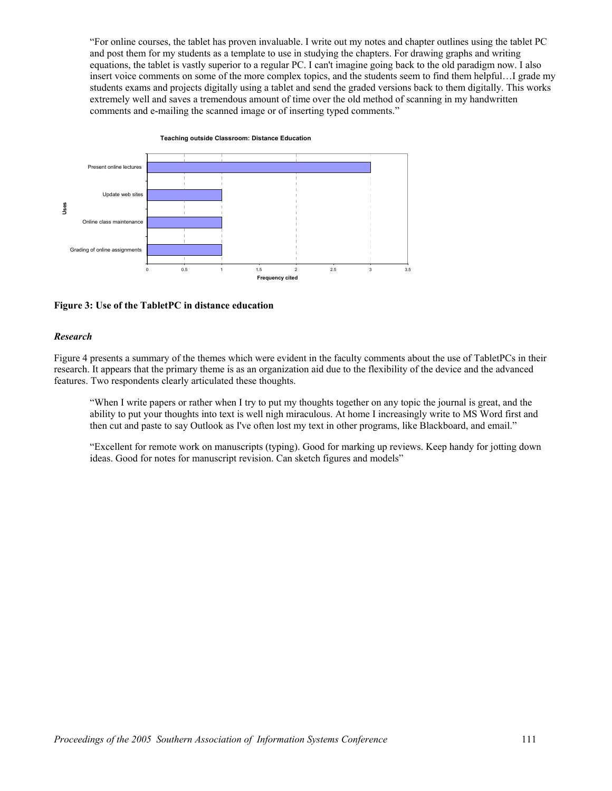"For online courses, the tablet has proven invaluable. I write out my notes and chapter outlines using the tablet PC and post them for my students as a template to use in studying the chapters. For drawing graphs and writing equations, the tablet is vastly superior to a regular PC. I can't imagine going back to the old paradigm now. I also insert voice comments on some of the more complex topics, and the students seem to find them helpful…I grade my students exams and projects digitally using a tablet and send the graded versions back to them digitally. This works extremely well and saves a tremendous amount of time over the old method of scanning in my handwritten comments and e-mailing the scanned image or of inserting typed comments."



**Figure 3: Use of the TabletPC in distance education** 

#### *Research*

Figure 4 presents a summary of the themes which were evident in the faculty comments about the use of TabletPCs in their research. It appears that the primary theme is as an organization aid due to the flexibility of the device and the advanced features. Two respondents clearly articulated these thoughts.

"When I write papers or rather when I try to put my thoughts together on any topic the journal is great, and the ability to put your thoughts into text is well nigh miraculous. At home I increasingly write to MS Word first and then cut and paste to say Outlook as I've often lost my text in other programs, like Blackboard, and email."

"Excellent for remote work on manuscripts (typing). Good for marking up reviews. Keep handy for jotting down ideas. Good for notes for manuscript revision. Can sketch figures and models"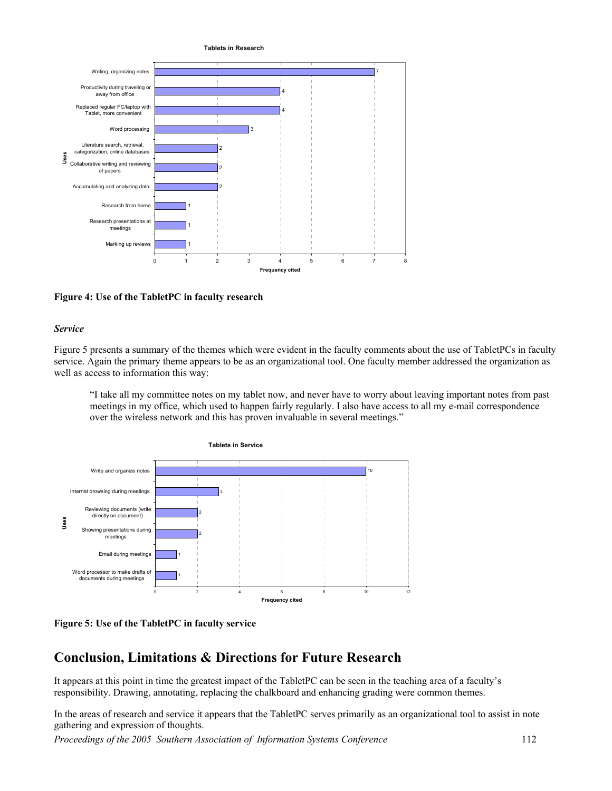

**Figure 4: Use of the TabletPC in faculty research** 

#### *Service*

Figure 5 presents a summary of the themes which were evident in the faculty comments about the use of TabletPCs in faculty service. Again the primary theme appears to be as an organizational tool. One faculty member addressed the organization as well as access to information this way:

"I take all my committee notes on my tablet now, and never have to worry about leaving important notes from past meetings in my office, which used to happen fairly regularly. I also have access to all my e-mail correspondence over the wireless network and this has proven invaluable in several meetings."





### **Conclusion, Limitations & Directions for Future Research**

It appears at this point in time the greatest impact of the TabletPC can be seen in the teaching area of a faculty's responsibility. Drawing, annotating, replacing the chalkboard and enhancing grading were common themes.

In the areas of research and service it appears that the TabletPC serves primarily as an organizational tool to assist in note gathering and expression of thoughts.

*Proceedings of the 2005 Southern Association of Information Systems Conference* 112